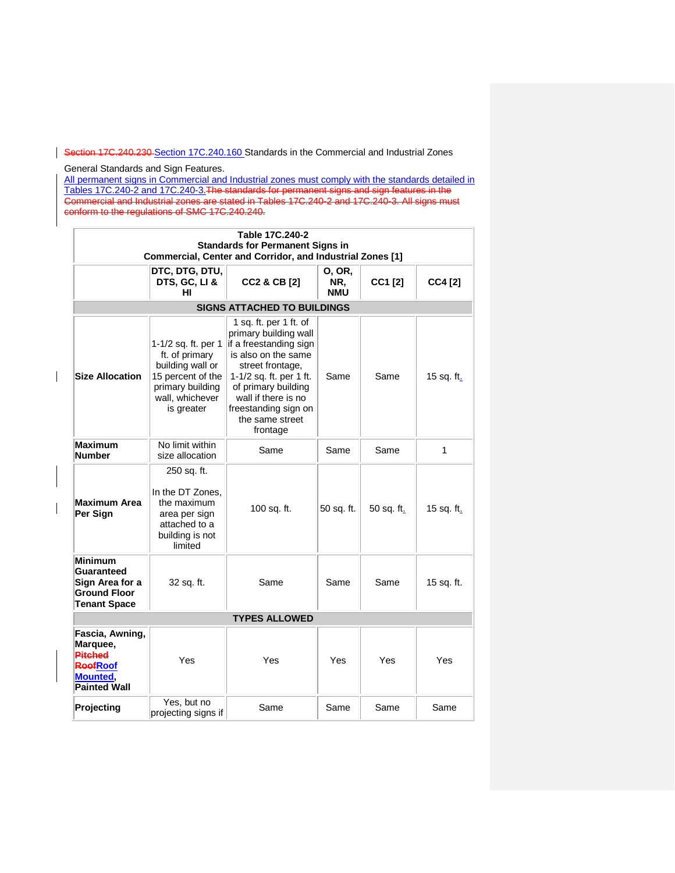Section 17C.240.230 [Section 17C.240.160](https://my.spokanecity.org/smc/?Section=17C.240.230) Standards in the Commercial and Industrial Zones

General Standards and Sign Features.

 $\overline{\phantom{a}}$ 

All permanent signs in Commercial and Industrial zones must comply with the standards detailed in Tables 17C.240-2 and 17C.240-3.The standards for permanent signs and sign features in the Commercial and Industrial zones are stated in Tables 17C.240-2 and 17C.240-3. All signs must conform to the regulations of SMC 17C.240.240.

| Table 17C.240-2<br><b>Standards for Permanent Signs in</b><br>Commercial, Center and Corridor, and Industrial Zones [1] |                                                                                                                                     |                                                                                                                                                                                                                                                      |                             |            |            |  |
|-------------------------------------------------------------------------------------------------------------------------|-------------------------------------------------------------------------------------------------------------------------------------|------------------------------------------------------------------------------------------------------------------------------------------------------------------------------------------------------------------------------------------------------|-----------------------------|------------|------------|--|
|                                                                                                                         | DTC, DTG, DTU,<br>DTS, GC, LI &<br>HI                                                                                               | <b>CC2 &amp; CB [2]</b>                                                                                                                                                                                                                              | 0, OR,<br>NR.<br><b>NMU</b> | CC1 [2]    | CC4 [2]    |  |
|                                                                                                                         | <b>SIGNS ATTACHED TO BUILDINGS</b>                                                                                                  |                                                                                                                                                                                                                                                      |                             |            |            |  |
| <b>Size Allocation</b>                                                                                                  | 1-1/2 sq. ft. per 1<br>ft. of primary<br>building wall or<br>15 percent of the<br>primary building<br>wall, whichever<br>is greater | 1 sq. ft. per 1 ft. of<br>primary building wall<br>if a freestanding sign<br>is also on the same<br>street frontage,<br>1-1/2 sq. ft. per 1 ft.<br>of primary building<br>wall if there is no<br>freestanding sign on<br>the same street<br>frontage | Same                        | Same       | 15 sq. ft. |  |
| <b>Maximum</b><br><b>Number</b>                                                                                         | No limit within<br>size allocation                                                                                                  | Same                                                                                                                                                                                                                                                 | Same                        | Same       | 1          |  |
| <b>Maximum Area</b><br>Per Sign                                                                                         | 250 sq. ft.<br>In the DT Zones.<br>the maximum<br>area per sign<br>attached to a<br>building is not<br>limited                      | 100 sq. ft.                                                                                                                                                                                                                                          | 50 sq. ft.                  | 50 sq. ft. | 15 sq. ft. |  |
| <b>Minimum</b><br><b>Guaranteed</b><br>Sign Area for a<br><b>Ground Floor</b><br><b>Tenant Space</b>                    | 32 sq. ft.                                                                                                                          | Same                                                                                                                                                                                                                                                 | Same                        | Same       | 15 sq. ft. |  |
| <b>TYPES ALLOWED</b>                                                                                                    |                                                                                                                                     |                                                                                                                                                                                                                                                      |                             |            |            |  |
| Fascia, Awning,<br>Marquee,<br><b>Pitched</b><br><b>ReefRoof</b><br><b>Mounted,</b><br><b>Painted Wall</b>              | Yes                                                                                                                                 | Yes                                                                                                                                                                                                                                                  | Yes                         | Yes        | Yes        |  |
| Projecting                                                                                                              | Yes, but no<br>projecting signs if                                                                                                  | Same                                                                                                                                                                                                                                                 | Same                        | Same       | Same       |  |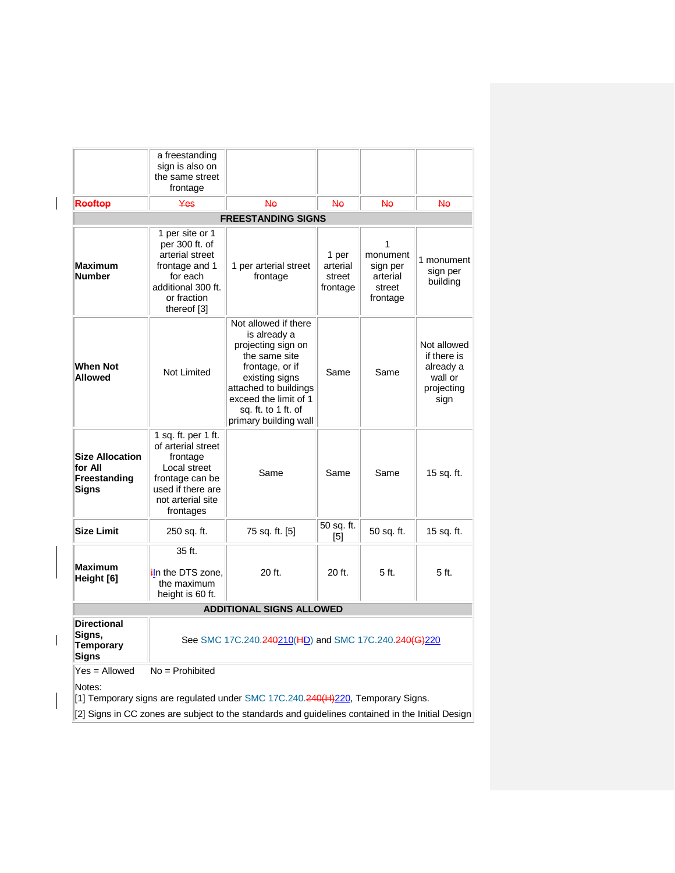|                                                                                                        | a freestanding<br>sign is also on                                                                                                               |                                                                                                                                                                                                                    |                                         |                                                             |                                                                          |
|--------------------------------------------------------------------------------------------------------|-------------------------------------------------------------------------------------------------------------------------------------------------|--------------------------------------------------------------------------------------------------------------------------------------------------------------------------------------------------------------------|-----------------------------------------|-------------------------------------------------------------|--------------------------------------------------------------------------|
|                                                                                                        | the same street<br>frontage                                                                                                                     |                                                                                                                                                                                                                    |                                         |                                                             |                                                                          |
| Rooftop                                                                                                | Yes                                                                                                                                             | <b>No</b>                                                                                                                                                                                                          | N٥                                      | <b>No</b>                                                   | N٥                                                                       |
|                                                                                                        |                                                                                                                                                 | <b>FREESTANDING SIGNS</b>                                                                                                                                                                                          |                                         |                                                             |                                                                          |
| Maximum<br><b>Number</b>                                                                               | 1 per site or 1<br>per 300 ft. of<br>arterial street<br>frontage and 1<br>for each<br>additional 300 ft.<br>or fraction<br>thereof [3]          | 1 per arterial street<br>frontage                                                                                                                                                                                  | 1 per<br>arterial<br>street<br>frontage | 1<br>monument<br>sign per<br>arterial<br>street<br>frontage | 1 monument<br>sign per<br>building                                       |
| When Not<br><b>Allowed</b>                                                                             | Not Limited                                                                                                                                     | Not allowed if there<br>is already a<br>projecting sign on<br>the same site<br>frontage, or if<br>existing signs<br>attached to buildings<br>exceed the limit of 1<br>sq. ft. to 1 ft. of<br>primary building wall | Same                                    | Same                                                        | Not allowed<br>if there is<br>already a<br>wall or<br>projecting<br>sign |
| <b>Size Allocation</b><br>for All<br>Freestanding<br><b>Signs</b>                                      | 1 sq. ft. per 1 ft.<br>of arterial street<br>frontage<br>Local street<br>frontage can be<br>used if there are<br>not arterial site<br>frontages | Same                                                                                                                                                                                                               | Same                                    | Same                                                        | 15 sq. ft.                                                               |
| <b>Size Limit</b>                                                                                      | 250 sq. ft.                                                                                                                                     | 75 sq. ft. [5]                                                                                                                                                                                                     | 50 sq. ft.<br>[5]                       | 50 sq. ft.                                                  | 15 sq. ft.                                                               |
| <b>Maximum</b><br>Height [6]                                                                           | 35 ft.<br>in the DTS zone.<br>the maximum<br>height is 60 ft.                                                                                   | 20 ft.                                                                                                                                                                                                             | 20 ft.                                  | 5 ft.                                                       | 5 ft.                                                                    |
|                                                                                                        | <b>ADDITIONAL SIGNS ALLOWED</b>                                                                                                                 |                                                                                                                                                                                                                    |                                         |                                                             |                                                                          |
| <b>Directional</b><br>Signs,<br><b>Temporary</b><br>Signs                                              | See SMC 17C.240. <del>240</del> 210(HD) and SMC 17C.240. <del>240(G)</del> 220                                                                  |                                                                                                                                                                                                                    |                                         |                                                             |                                                                          |
| Yes = Allowed                                                                                          | $No = Problem$                                                                                                                                  |                                                                                                                                                                                                                    |                                         |                                                             |                                                                          |
| Notes:<br>[1] Temporary signs are regulated under SMC 17C.240. <del>240(H)220</del> , Temporary Signs. |                                                                                                                                                 |                                                                                                                                                                                                                    |                                         |                                                             |                                                                          |
|                                                                                                        | [2] Signs in CC zones are subject to the standards and guidelines contained in the Initial Design                                               |                                                                                                                                                                                                                    |                                         |                                                             |                                                                          |

 $\overline{\phantom{a}}$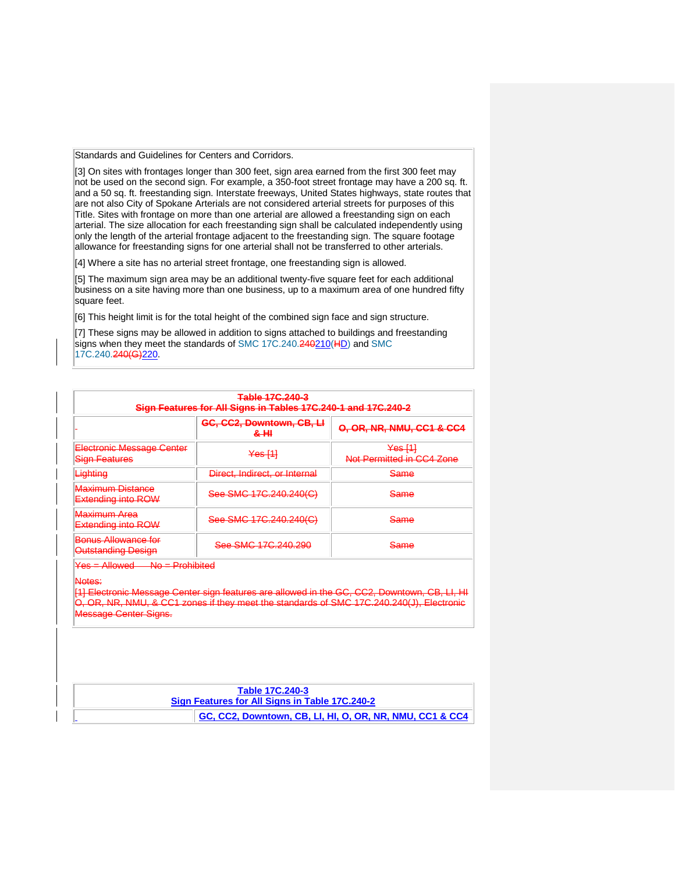Standards and Guidelines for Centers and Corridors.

[3] On sites with frontages longer than 300 feet, sign area earned from the first 300 feet may not be used on the second sign. For example, a 350-foot street frontage may have a 200 sq. ft. and a 50 sq. ft. freestanding sign. Interstate freeways, United States highways, state routes that are not also City of Spokane Arterials are not considered arterial streets for purposes of this Title. Sites with frontage on more than one arterial are allowed a freestanding sign on each arterial. The size allocation for each freestanding sign shall be calculated independently using only the length of the arterial frontage adjacent to the freestanding sign. The square footage allowance for freestanding signs for one arterial shall not be transferred to other arterials.

[4] Where a site has no arterial street frontage, one freestanding sign is allowed.

[5] The maximum sign area may be an additional twenty-five square feet for each additional business on a site having more than one business, up to a maximum area of one hundred fifty square feet.

[6] This height limit is for the total height of the combined sign face and sign structure.

[7] These signs may be allowed in addition to signs attached to buildings and freestanding signs when they meet the standards of [SMC 17C.240.240210\(HD\) a](https://my.spokanecity.org/smc/?Section=17C.240.240)nd SMC [17C.240.240\(G\)220.](https://my.spokanecity.org/smc/?Section=17C.240.240)

| <del>Table 17C.240-3</del><br>Sign Features for All Signs in Tables 17C.240-1 and 17C.240-2 |                                                  |                                                 |  |  |
|---------------------------------------------------------------------------------------------|--------------------------------------------------|-------------------------------------------------|--|--|
|                                                                                             | GC, CC2, Downtown, CB, LI<br><del>&amp; HI</del> | 0, OR, NR, NMU, CC1 & CC4                       |  |  |
| <b>Electronic Message Center</b><br><b>Sign Features</b>                                    | <del>Yes [1]</del>                               | <del>Yes [1]</del><br>Not Permitted in CC4 Zone |  |  |
| Lighting                                                                                    | Direct, Indirect, or Internal                    | Same                                            |  |  |
| <b>Maximum Distance</b><br><b>Extending into ROW</b>                                        | See SMC 17C.240.240(C)                           | <del>Same</del>                                 |  |  |
| <del>Maximum Area</del><br><b>Extending into ROW</b>                                        | See SMC 17C.240.240(C)                           | <del>Same</del>                                 |  |  |
| Benus Allewance for<br>Outstanding Design                                                   | See SMC 17C.240.290                              | <del>Same</del>                                 |  |  |
| <del>Yes = Allowed —</del><br>No <del>– Prohibited</del>                                    |                                                  |                                                 |  |  |
| Notes:                                                                                      |                                                  |                                                 |  |  |

[1] Electronic Message Center sign features are allowed in the GC, CC2, Downtown, CB, LI, HI OR, NR, NMU, & CC1 zones if they meet the standards of SMC 17C.240.240(J), Elect Center Signs.

| Table 17C.240-3                                          |  |  |  |
|----------------------------------------------------------|--|--|--|
| Sign Features for All Signs in Table 17C.240-2           |  |  |  |
| GC, CC2, Downtown, CB, LI, HI, O, OR, NR, NMU, CC1 & CC4 |  |  |  |